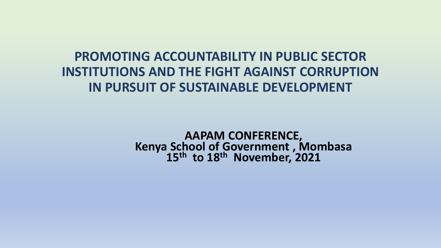### **PROMOTING ACCOUNTABILITY IN PUBLIC SECTOR INSTITUTIONS AND THE FIGHT AGAINST CORRUPTION IN PURSUIT OF SUSTAINABLE DEVELOPMENT**

**AAPAM CONFERENCE, Kenya School of Government , Mombasa 15th to 18th November, 2021**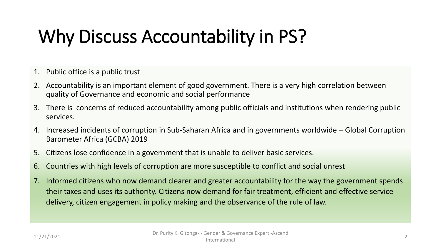# Why Discuss Accountability in PS?

- 1. Public office is a public trust
- 2. Accountability is an important element of good government. There is a very high correlation between quality of Governance and economic and social performance
- 3. There is concerns of reduced accountability among public officials and institutions when rendering public services.
- 4. Increased incidents of corruption in Sub-Saharan Africa and in governments worldwide Global Corruption Barometer Africa (GCBA) 2019
- 5. Citizens lose confidence in a government that is unable to deliver basic services.
- 6. Countries with high levels of corruption are more susceptible to conflict and social unrest
- 7. Informed citizens who now demand clearer and greater accountability for the way the government spends their taxes and uses its authority. Citizens now demand for fair treatment, efficient and effective service delivery, citizen engagement in policy making and the observance of the rule of law.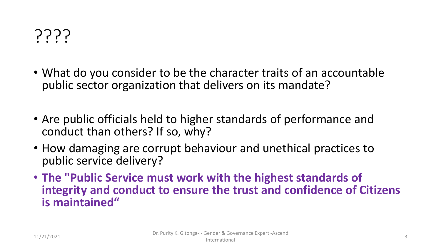

- What do you consider to be the character traits of an accountable public sector organization that delivers on its mandate?
- Are public officials held to higher standards of performance and conduct than others? If so, why?
- How damaging are corrupt behaviour and unethical practices to public service delivery?
- **The "Public Service must work with the highest standards of integrity and conduct to ensure the trust and confidence of Citizens is maintained"**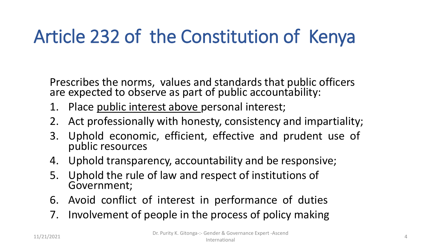# Article 232 of the Constitution of Kenya

Prescribes the norms, values and standards that public officers are expected to observe as part of public accountability:

- 1. Place public interest above personal interest;
- 2. Act professionally with honesty, consistency and impartiality;
- 3. Uphold economic, efficient, effective and prudent use of public resources
- 4. Uphold transparency, accountability and be responsive;
- 5. Uphold the rule of law and respect of institutions of Government;
- 6. Avoid conflict of interest in performance of duties
- 7. Involvement of people in the process of policy making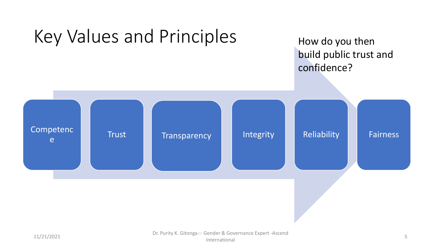

#### 11/21/2021 Dr. Purity K. Gitonga-:- Gender & Governance Expert -Ascend International 5 Second 2002 12:00 12:00 12:00 12:00 12:00 12:00 12:00 12:00 12:00 12:00 12:00 12:00 12:00 12:00 12:00 12:00 12:00 12:00 12:00 12:00 12:00 12:00 12:00 12:00 12:00 12:00 12:00 12:00 12:00 12:00 12:00 12:00 12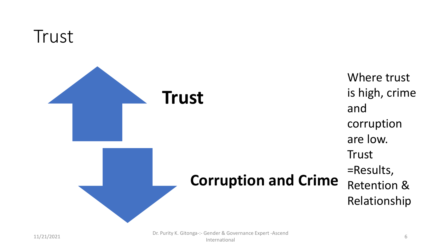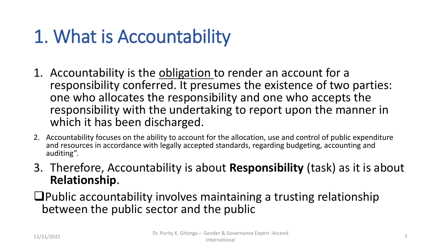# 1. What is Accountability

- 1. Accountability is the obligation to render an account for a responsibility conferred. It presumes the existence of two parties: one who allocates the responsibility and one who accepts the responsibility with the undertaking to report upon the manner in which it has been discharged.
- 2. Accountability focuses on the ability to account for the allocation, use and control of public expenditure and resources in accordance with legally accepted standards, regarding budgeting, accounting and auditing".
- 3. Therefore, Accountability is about **Responsibility** (task) as it is about **Relationship**.
- ❑Public accountability involves maintaining a trusting relationship between the public sector and the public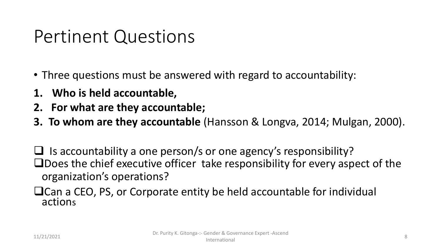## Pertinent Questions

- Three questions must be answered with regard to accountability:
- **1. Who is held accountable,**
- **2. For what are they accountable;**
- **3. To whom are they accountable** (Hansson & Longva, 2014; Mulgan, 2000).

 $\Box$  Is accountability a one person/s or one agency's responsibility? ❑Does the chief executive officer take responsibility for every aspect of the organization's operations?

❑Can a CEO, PS, or Corporate entity be held accountable for individual actions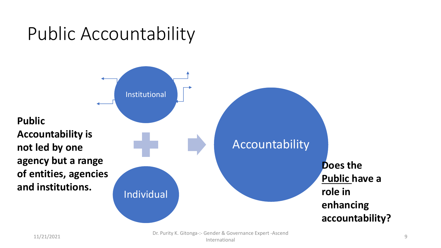## Public Accountability



11/21/2021 Dr. Purity K. Gitonga-:- Gender & Governance Expert -Ascend ender & Governance Expert 7.5cchd<br>International experts 7.5cchd experts 7.9cchd experts 7.9cc number of the state of the state of the state of t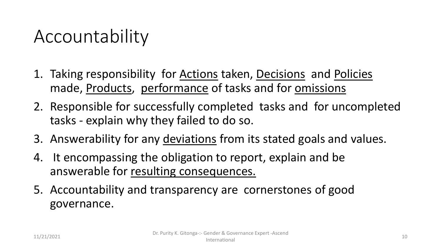## Accountability

- 1. Taking responsibility for Actions taken, Decisions and Policies made, Products, performance of tasks and for omissions
- 2. Responsible for successfully completed tasks and for uncompleted tasks - explain why they failed to do so.
- 3. Answerability for any deviations from its stated goals and values.
- 4. It encompassing the obligation to report, explain and be answerable for resulting consequences.
- 5. Accountability and transparency are cornerstones of good governance.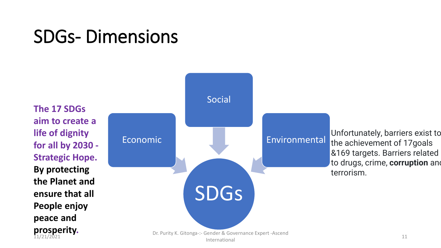## SDGs- Dimensions

SDGs Economic Social Environmental Dr. Purity K. Gitonga-:- Gender & Governance Expert -Ascend<br>International International 11 International 11 Unfortunately, barriers exist to the achievement of 17goals &169 targets. Barriers related to drugs, crime, **corruption** and terrorism. **The 17 SDGs aim to create a life of dignity for all by 2030 - Strategic Hope. By protecting the Planet and ensure that all People enjoy peace and prosperity.**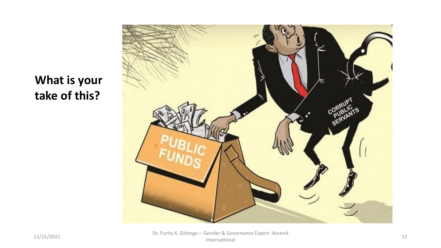



11/21/2021 Dr. Purity K. Gitonga-:- Gender & Governance Expert -Ascend International 12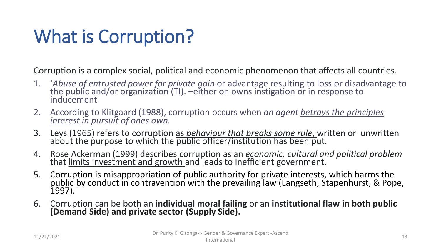# What is Corruption?

Corruption is a complex social, political and economic phenomenon that affects all countries.

- 1. '*Abuse of entrusted power for private gain* or advantage resulting to loss or disadvantage to the public and/or organization (TI). –either on owns instigation or in response to inducement
- 2. According to Klitgaard (1988), corruption occurs when *an agent betrays the principles interest in pursuit of ones own.*
- 3. Leys (1965) refers to corruption as *behaviour that breaks some rule*, written or unwritten about the purpose to which the public officer/institution has been put.
- 4. Rose Ackerman (1999) describes corruption as an *economic, cultural and political problem*  that <u>limits investment and growth a</u>nd leads to inefficient government.
- 5. Corruption is misappropriation of public authority for private interests, which harms the <u>public by conduct in contravention with the prevailing law (Langseth, Stapenhurst, & Pope, </u> 1997).
- 6. Corruption can be both an **individual moral failing** or an **institutional flaw in both public (Demand Side) and private sector (Supply Side).**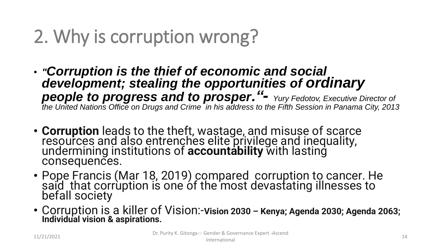# 2. Why is corruption wrong?

- *"Corruption is the thief of economic and social development; stealing the opportunities of ordinary people to progress and to prosper."- Yury Fedotov, Executive Director of the United Nations Office on Drugs and Crime in his address to the Fifth Session in Panama City, 2013*
- **Corruption** leads to the theft, wastage, and misuse of scarce resources and also entrenches elite privilege and inequality, undermining institutions of **accountability** with lasting consequences.
- Pope Francis (Mar 18, 2019) compared corruption to cancer. He said that corrùption is one óf the most devastating illnesses to befall society
- Corruption is a killer of Vision:-**Vision 2030 – Kenya; Agenda 2030; Agenda 2063; Individual vision & aspirations.**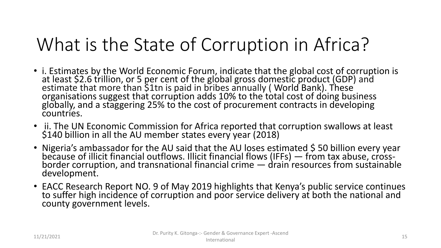# What is the State of Corruption in Africa?

- i. Estimates by the World Economic Forum, indicate that the global cost of corruption is at least \$2.6 trillion, or 5 per cent of the global gross domestic product (GDP) and estimate that more than \$1tn is paid in bribes annually (World Bank). These organisations suggest that corruption adds 10% to the total cost of doing business globally, and a staggering 25% to the cost of procurement contracts in developing countries.
- ii. The UN Economic Commission for Africa reported that corruption swallows at least \$140 billion in all the AU member states every year (2018)
- Nigeria's ambassador for the AU said that the AU loses estimated \$50 billion every year because of illicit financial outflows. Illicit financial flows (IFFs) — from tax abuse, crossborder corruption, and transnational financial crime — drain resources from sustainable development.
- EACC Research Report NO. 9 of May 2019 highlights that Kenya's public service continues to suffer high incidence of corruption and poor service delivery at both the national and county government levels.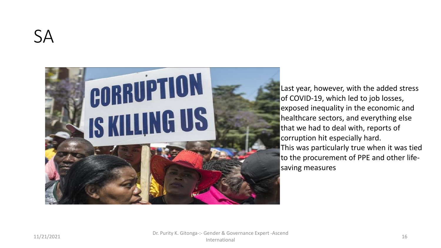

Last year, however, with the added stress of COVID-19, which led to job losses, exposed inequality in the economic and healthcare sectors, and everything else that we had to deal with, reports of corruption hit especially hard. This was particularly true when it was tied to the procurement of PPE and other lifesaving measures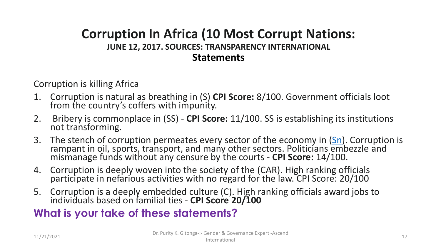#### **Corruption In Africa (10 Most Corrupt Nations: JUNE 12, 2017. SOURCES: TRANSPARENCY INTERNATIONAL Statements**

Corruption is killing Africa

- 1. Corruption is natural as breathing in (S) **CPI Score:** 8/100. Government officials loot from the country's coffers with impunity.
- 2. Bribery is commonplace in (SS) **CPI Score:** 11/100. SS is establishing its institutions not transforming.
- 3. The stench of corruption permeates every sector of the economy in ([Sn](https://afrikanza.com/blogs/culture-history/facts-about-sudan)). Corruption is rampant in oil, sports, transport, and many other sectors. Politicians embezzle and mismanage funds without any censure by the courts - **CPI Score:** 14/100.
- 4. Corruption is deeply woven into the society of the (CAR). High ranking officials participate in nefarious activities with no regard for the law. CPI Score: 20/100
- 5. Corruption is a deeply embedded culture (C). High ranking officials award jobs to individuals based on familial ties - **CPI Score 20/100**

#### **What is your take of these statements?**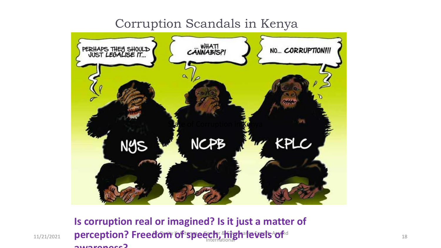#### Corruption Scandals in Kenya



11/21/2021 **perception? Freedom of speech, shigh levels of** determined the property of the speech of the summer of the speech of the speech of the speech of the speech of the speech of the speech of the speech of the speec **Is corruption real or imagined? Is it just a matter of awareness?**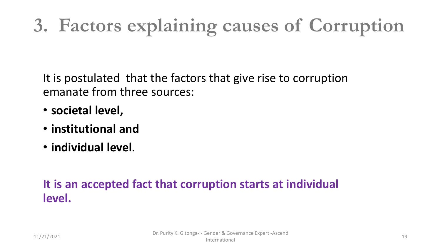# **3. Factors explaining causes of Corruption**

It is postulated that the factors that give rise to corruption emanate from three sources:

- **societal level,**
- **institutional and**
- **individual level**.

#### **It is an accepted fact that corruption starts at individual level.**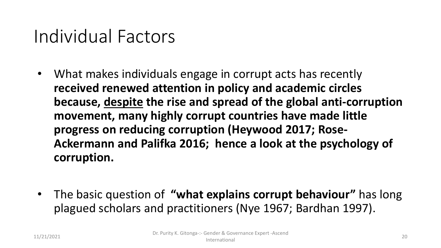## Individual Factors

- What makes individuals engage in corrupt acts has recently **received renewed attention in policy and academic circles because, despite the rise and spread of the global anti-corruption movement, many highly corrupt countries have made little progress on reducing corruption (Heywood 2017; Rose-Ackermann and Palifka 2016; hence a look at the psychology of corruption.**
- The basic question of **"what explains corrupt behaviour"** has long plagued scholars and practitioners (Nye 1967; Bardhan 1997).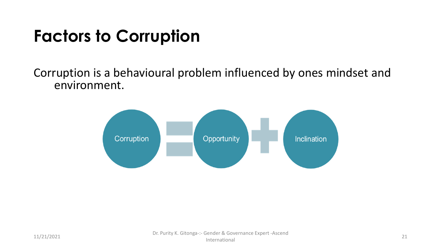## **Factors to Corruption**

#### Corruption is a behavioural problem influenced by ones mindset and environment.

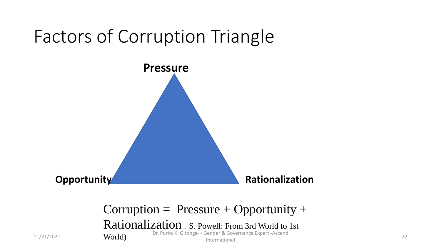## Factors of Corruption Triangle



#### $Corruption = Pressure + Opportunity +$

Rationalization . S. Powell: From 3rd World to 1st

11/21/2021 **World** Dr. Purity K. Gitonga-:- Gender & Governance Expert -Ascend<br>International International 22

World)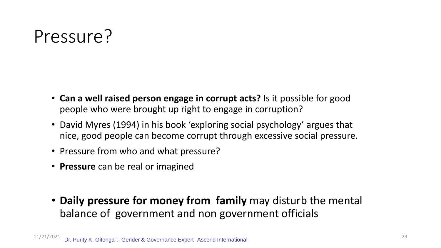## Pressure?

- **Can a well raised person engage in corrupt acts?** Is it possible for good people who were brought up right to engage in corruption?
- David Myres (1994) in his book 'exploring social psychology' argues that nice, good people can become corrupt through excessive social pressure.
- Pressure from who and what pressure?
- **Pressure** can be real or imagined
- **Daily pressure for money from family** may disturb the mental balance of government and non government officials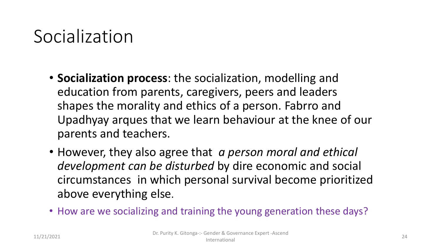## Socialization

- **Socialization process**: the socialization, modelling and education from parents, caregivers, peers and leaders shapes the morality and ethics of a person. Fabrro and Upadhyay arques that we learn behaviour at the knee of our parents and teachers.
- However, they also agree that *a person moral and ethical development can be disturbed* by dire economic and social circumstances in which personal survival become prioritized above everything else.
- How are we socializing and training the young generation these days?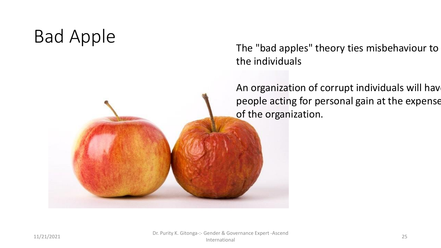## Bad Apple

The "bad apples" theory ties misbehaviour to the individuals

An organization of corrupt individuals will have people acting for personal gain at the expense of the organization.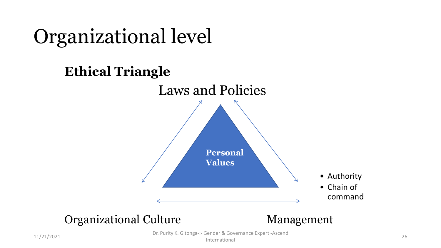

11/21/2021 Dr. Purity K. Gitonga-:- Gender & Governance Expert -Ascend

International 26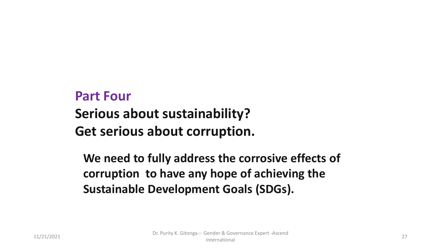## **Part Four**

### **Serious about sustainability?**

### **Get serious about corruption.**

**We need to fully address the corrosive effects of corruption to have any hope of achieving the Sustainable Development Goals (SDGs).**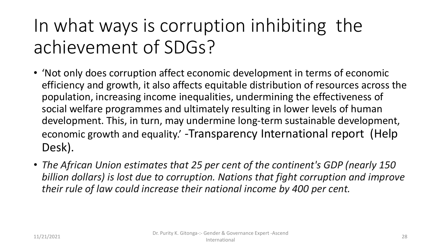# In what ways is corruption inhibiting the achievement of SDGs?

- 'Not only does corruption affect economic development in terms of economic efficiency and growth, it also affects equitable distribution of resources across the population, increasing income inequalities, undermining the effectiveness of social welfare programmes and ultimately resulting in lower levels of human development. This, in turn, may undermine long-term sustainable development, economic growth and equality.' -Transparency International report (Help Desk).
- *The African Union estimates that 25 per cent of the continent's GDP (nearly 150 billion dollars) is lost due to corruption. Nations that fight corruption and improve their rule of law could increase their national income by 400 per cent.*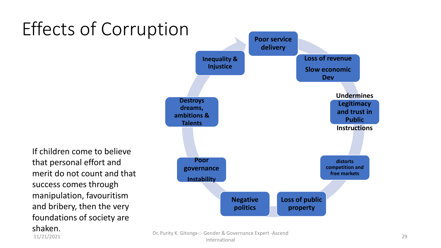# Effects of Corruption **Poor service**

If children come to believe that personal effort and merit do not count and that success comes through manipulation, favouritism and bribery, then the very foundations of society are shaken.

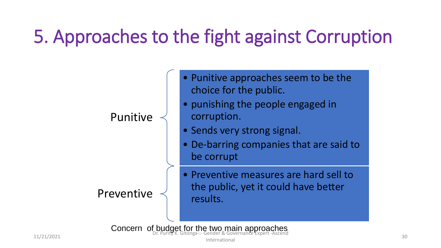# 5. Approaches to the fight against Corruption

#### Punitive

#### Preventive

- Punitive approaches seem to be the choice for the public.
- punishing the people engaged in corruption.
- Sends very strong signal.
- De-barring companies that are said to be corrupt
- Preventive measures are hard sell to the public, yet it could have better results.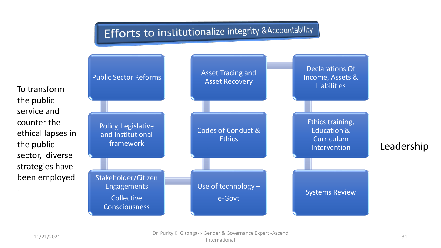#### **Efforts to institutionalize integrity & Accountability**



11/21/2021 Dr. Purity K. Gitonga-:- Gender & Governance Expert -Ascend International 31<br>International 31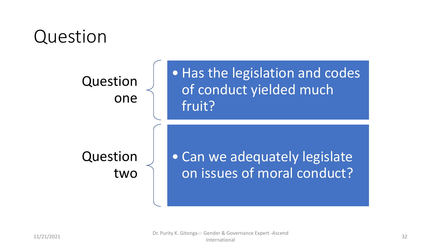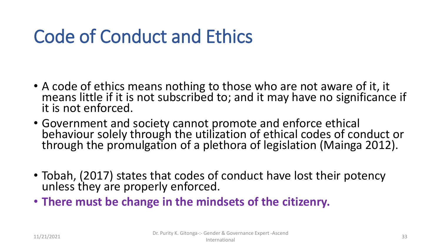# Code of Conduct and Ethics

- A code of ethics means nothing to those who are not aware of it, it means little if it is not subscribed to; and it may have no significance if it is not enforced.
- Government and society cannot promote and enforce ethical behaviour solely through the utilization of ethical codes of conduct or through the promulgation of a plethora of legislation (Mainga 2012).
- Tobah, (2017) states that codes of conduct have lost their potency unless they are properly enforced.
- **There must be change in the mindsets of the citizenry.**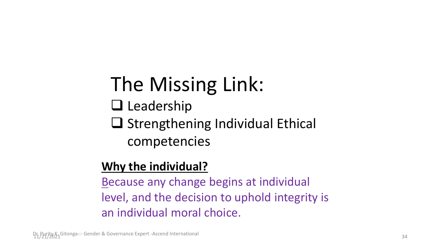# The Missing Link:

- ❑ Leadership
- ❑ Strengthening Individual Ethical competencies

### **Why the individual?**

Because any change begins at individual level, and the decision to uphold integrity is an individual moral choice.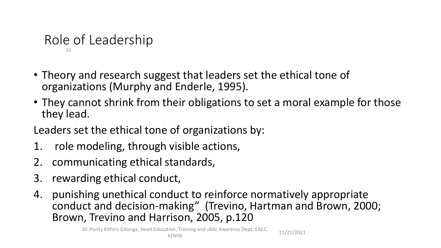#### Role of Leadership 35

- Theory and research suggest that leaders set the ethical tone of organizations (Murphy and Enderle, 1995).
- They cannot shrink from their obligations to set a moral example for those they lead.
- Leaders set the ethical tone of organizations by:
- 1. role modeling, through visible actions,
- 2. communicating ethical standards,
- 3. rewarding ethical conduct,
- 4. punishing unethical conduct to reinforce normatively appropriate conduct and decision-making" (Trevino, Hartman and Brown, 2000; Brown, Trevino and Harrison, 2005, p.120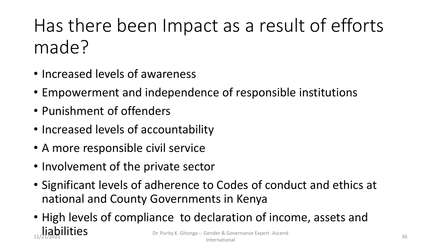# Has there been Impact as a result of efforts made?

- Increased levels of awareness
- Empowerment and independence of responsible institutions
- Punishment of offenders
- Increased levels of accountability
- A more responsible civil service
- Involvement of the private sector
- Significant levels of adherence to Codes of conduct and ethics at national and County Governments in Kenya
- High levels of compliance to declaration of income, assets and liabilities 11/2021 Dr. Purity K. Gitonga-:- Gender & Governance Expert -Ascend International 36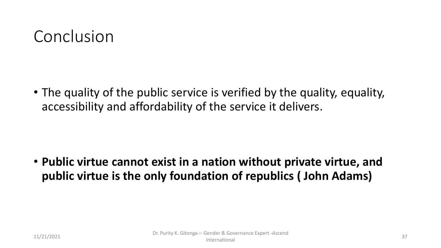## Conclusion

• The quality of the public service is verified by the quality, equality, accessibility and affordability of the service it delivers.

• **Public virtue cannot exist in a nation without private virtue, and public virtue is the only foundation of republics ( John Adams)**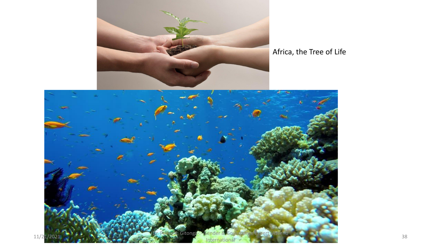

#### Africa, the Tree of Life